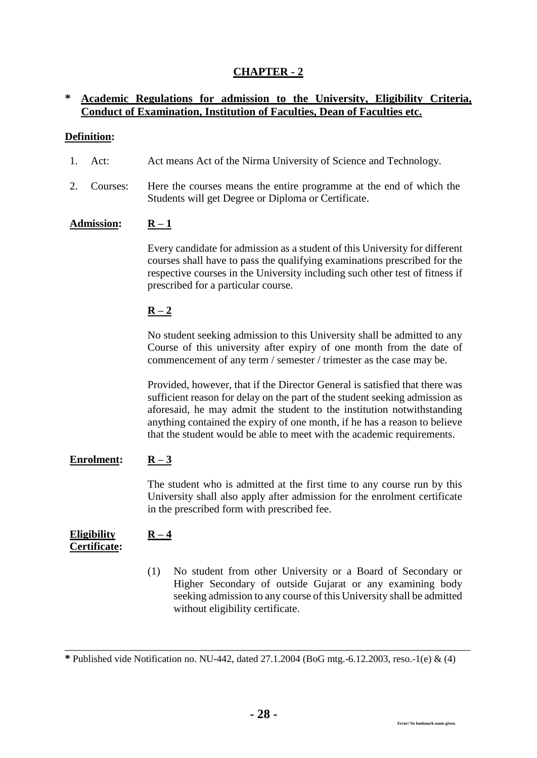## **CHAPTER - 2**

#### **\* Academic Regulations for admission to the University, Eligibility Criteria, Conduct of Examination, Institution of Faculties, Dean of Faculties etc.**

#### **Definition:**

- 1. Act: Act means Act of the Nirma University of Science and Technology.
- 2. Courses: Here the courses means the entire programme at the end of which the Students will get Degree or Diploma or Certificate.

#### **Admission: R – 1**

Every candidate for admission as a student of this University for different courses shall have to pass the qualifying examinations prescribed for the respective courses in the University including such other test of fitness if prescribed for a particular course.

#### $R - 2$

No student seeking admission to this University shall be admitted to any Course of this university after expiry of one month from the date of commencement of any term / semester / trimester as the case may be.

Provided, however, that if the Director General is satisfied that there was sufficient reason for delay on the part of the student seeking admission as aforesaid, he may admit the student to the institution notwithstanding anything contained the expiry of one month, if he has a reason to believe that the student would be able to meet with the academic requirements.

#### Enrolment:  $R-3$

The student who is admitted at the first time to any course run by this University shall also apply after admission for the enrolment certificate in the prescribed form with prescribed fee.

#### **Eligibility Certificate:**   $R - 4$

(1) No student from other University or a Board of Secondary or Higher Secondary of outside Gujarat or any examining body seeking admission to any course of this University shall be admitted without eligibility certificate.

\_\_\_\_\_\_\_\_\_\_\_\_\_\_\_\_\_\_\_\_\_\_\_\_\_\_\_\_\_\_\_\_\_\_\_\_\_\_\_\_\_\_\_\_\_\_\_\_\_\_\_\_\_\_\_\_\_\_\_\_\_\_\_\_\_\_\_\_\_\_\_\_\_\_\_

**<sup>\*</sup>** Published vide Notification no. NU-442, dated 27.1.2004 (BoG mtg.-6.12.2003, reso.-1(e) & (4)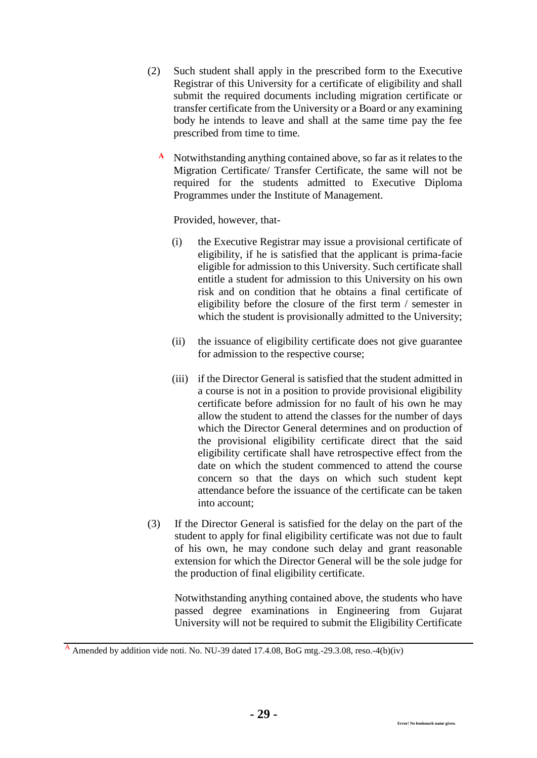- (2) Such student shall apply in the prescribed form to the Executive Registrar of this University for a certificate of eligibility and shall submit the required documents including migration certificate or transfer certificate from the University or a Board or any examining body he intends to leave and shall at the same time pay the fee prescribed from time to time.
	- A Notwithstanding anything contained above, so far as it relates to the Migration Certificate/ Transfer Certificate, the same will not be required for the students admitted to Executive Diploma Programmes under the Institute of Management.

Provided, however, that-

- (i) the Executive Registrar may issue a provisional certificate of eligibility, if he is satisfied that the applicant is prima-facie eligible for admission to this University. Such certificate shall entitle a student for admission to this University on his own risk and on condition that he obtains a final certificate of eligibility before the closure of the first term / semester in which the student is provisionally admitted to the University;
- (ii) the issuance of eligibility certificate does not give guarantee for admission to the respective course;
- (iii) if the Director General is satisfied that the student admitted in a course is not in a position to provide provisional eligibility certificate before admission for no fault of his own he may allow the student to attend the classes for the number of days which the Director General determines and on production of the provisional eligibility certificate direct that the said eligibility certificate shall have retrospective effect from the date on which the student commenced to attend the course concern so that the days on which such student kept attendance before the issuance of the certificate can be taken into account;
- (3) If the Director General is satisfied for the delay on the part of the student to apply for final eligibility certificate was not due to fault of his own, he may condone such delay and grant reasonable extension for which the Director General will be the sole judge for the production of final eligibility certificate.

Notwithstanding anything contained above, the students who have passed degree examinations in Engineering from Gujarat University will not be required to submit the Eligibility Certificate

<sup>A</sup> Amended by addition vide noti. No. NU-39 dated 17.4.08, BoG mtg.-29.3.08, reso.-4(b)(iv)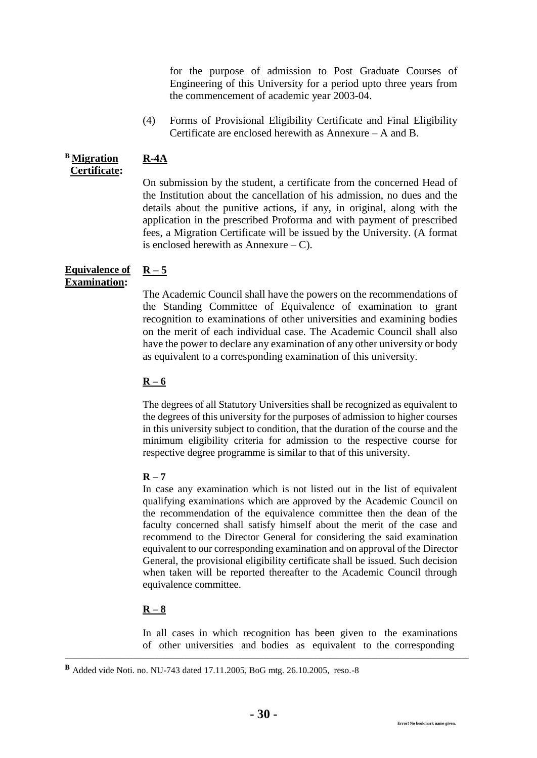for the purpose of admission to Post Graduate Courses of Engineering of this University for a period upto three years from the commencement of academic year 2003-04.

(4) Forms of Provisional Eligibility Certificate and Final Eligibility Certificate are enclosed herewith as Annexure – A and B.

#### **<sup>B</sup>Migration Certificate:**

# **R-4A**

On submission by the student, a certificate from the concerned Head of the Institution about the cancellation of his admission, no dues and the details about the punitive actions, if any, in original, along with the application in the prescribed Proforma and with payment of prescribed fees, a Migration Certificate will be issued by the University. (A format is enclosed herewith as  $Annexure - C$ ).

#### **Equivalence of Examination:**   $R - 5$

The Academic Council shall have the powers on the recommendations of the Standing Committee of Equivalence of examination to grant recognition to examinations of other universities and examining bodies on the merit of each individual case. The Academic Council shall also have the power to declare any examination of any other university or body as equivalent to a corresponding examination of this university.

# $R - 6$

The degrees of all Statutory Universities shall be recognized as equivalent to the degrees of this university for the purposes of admission to higher courses in this university subject to condition, that the duration of the course and the minimum eligibility criteria for admission to the respective course for respective degree programme is similar to that of this university.

# $R - 7$

In case any examination which is not listed out in the list of equivalent qualifying examinations which are approved by the Academic Council on the recommendation of the equivalence committee then the dean of the faculty concerned shall satisfy himself about the merit of the case and recommend to the Director General for considering the said examination equivalent to our corresponding examination and on approval of the Director General, the provisional eligibility certificate shall be issued. Such decision when taken will be reported thereafter to the Academic Council through equivalence committee.

# **R – 8**

In all cases in which recognition has been given to the examinations of other universities and bodies as equivalent to the corresponding

**\_\_\_\_\_\_\_\_\_\_\_\_\_\_\_\_\_\_\_\_\_\_\_\_\_\_\_\_\_\_\_\_\_\_\_\_\_\_\_\_\_\_\_\_\_\_\_\_\_\_\_\_\_\_\_\_\_\_\_\_\_\_\_\_\_\_\_\_\_\_\_\_\_\_\_\_\_\_\_\_\_\_\_\_\_\_\_\_\_\_\_\_\_\_\_\_\_\_\_\_\_\_\_\_\_\_\_\_\_\_\_\_**

**<sup>B</sup>** Added vide Noti. no. NU-743 dated 17.11.2005, BoG mtg. 26.10.2005, reso.-8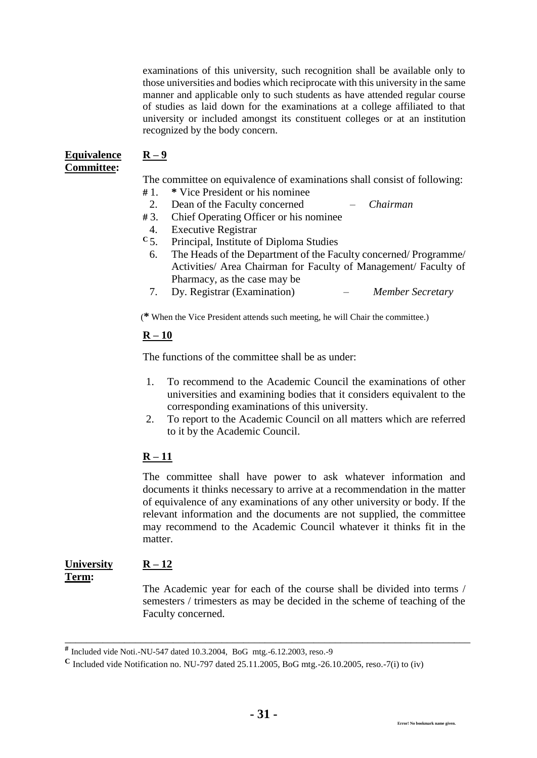examinations of this university, such recognition shall be available only to those universities and bodies which reciprocate with this university in the same manner and applicable only to such students as have attended regular course of studies as laid down for the examinations at a college affiliated to that university or included amongst its constituent colleges or at an institution recognized by the body concern.

#### **Equivalence Committee:**

# **R – 9**

The committee on equivalence of examinations shall consist of following:

- **#** 1. **\*** Vice President or his nominee
- 2. Dean of the Faculty concerned *Chairman*
- **#** 3. Chief Operating Officer or his nominee
- 4. Executive Registrar
- **<sup>C</sup>**5. Principal, Institute of Diploma Studies
	- 6. The Heads of the Department of the Faculty concerned/ Programme/ Activities/ Area Chairman for Faculty of Management/ Faculty of Pharmacy, as the case may be
	- 7. Dy. Registrar (Examination) *Member Secretary*

(**\*** When the Vice President attends such meeting, he will Chair the committee.)

#### **R – 10**

The functions of the committee shall be as under:

- 1. To recommend to the Academic Council the examinations of other universities and examining bodies that it considers equivalent to the corresponding examinations of this university.
- 2. To report to the Academic Council on all matters which are referred to it by the Academic Council.

# **R – 11**

The committee shall have power to ask whatever information and documents it thinks necessary to arrive at a recommendation in the matter of equivalence of any examinations of any other university or body. If the relevant information and the documents are not supplied, the committee may recommend to the Academic Council whatever it thinks fit in the matter.

#### **University Term: R – 12**

The Academic year for each of the course shall be divided into terms / semesters / trimesters as may be decided in the scheme of teaching of the Faculty concerned.

\_\_\_\_\_\_\_\_\_\_\_\_\_\_\_\_\_\_\_\_\_\_\_\_\_\_\_\_\_\_\_\_\_\_\_\_\_\_\_\_\_\_\_\_\_\_\_\_\_\_\_\_\_\_\_\_\_\_\_\_\_\_\_\_\_\_\_\_\_\_\_\_\_\_\_

**<sup>#</sup>** Included vide Noti.-NU-547 dated 10.3.2004, BoG mtg.-6.12.2003, reso.-9

**<sup>C</sup>** Included vide Notification no. NU-797 dated 25.11.2005, BoG mtg.-26.10.2005, reso.-7(i) to (iv)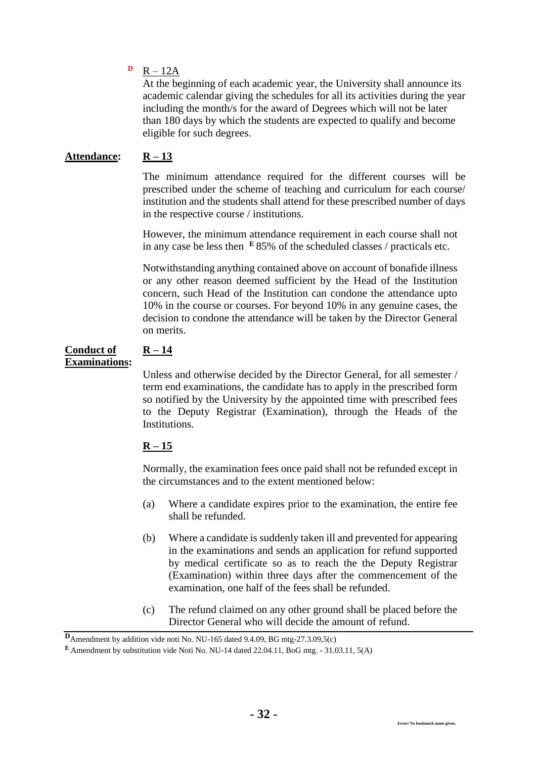#### $P$  R – 12A

At the beginning of each academic year, the University shall announce its academic calendar giving the schedules for all its activities during the year including the month/s for the award of Degrees which will not be later than 180 days by which the students are expected to qualify and become eligible for such degrees.

#### **Attendance: R – 13**

The minimum attendance required for the different courses will be prescribed under the scheme of teaching and curriculum for each course/ institution and the students shall attend for these prescribed number of days in the respective course / institutions.

However, the minimum attendance requirement in each course shall not in any case be less then  $E$  85% of the scheduled classes / practicals etc.

Notwithstanding anything contained above on account of bonafide illness or any other reason deemed sufficient by the Head of the Institution concern, such Head of the Institution can condone the attendance upto 10% in the course or courses. For beyond 10% in any genuine cases, the decision to condone the attendance will be taken by the Director General on merits.

#### **Conduct of Examinations:**

Unless and otherwise decided by the Director General, for all semester / term end examinations, the candidate has to apply in the prescribed form so notified by the University by the appointed time with prescribed fees to the Deputy Registrar (Examination), through the Heads of the Institutions.

## **R – 15**

**R – 14**

Normally, the examination fees once paid shall not be refunded except in the circumstances and to the extent mentioned below:

- (a) Where a candidate expires prior to the examination, the entire fee shall be refunded.
- (b) Where a candidate is suddenly taken ill and prevented for appearing in the examinations and sends an application for refund supported by medical certificate so as to reach the the Deputy Registrar (Examination) within three days after the commencement of the examination, one half of the fees shall be refunded.
- (c) The refund claimed on any other ground shall be placed before the Director General who will decide the amount of refund.

**D**Amendment by addition vide noti No. NU-165 dated 9.4.09, BG mtg-27.3.09,5(c)

**<sup>E</sup>** Amendment by substitution vide Noti No. NU-14 dated 22.04.11, BoG mtg. - 31.03.11, 5(A)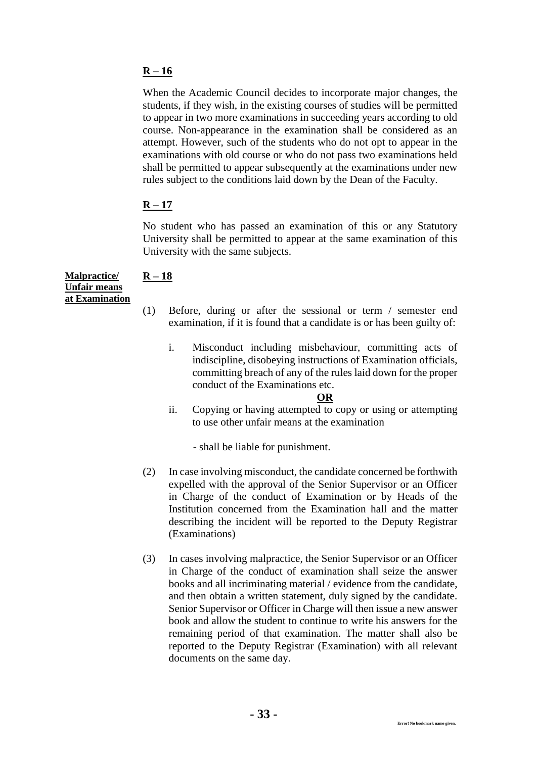When the Academic Council decides to incorporate major changes, the students, if they wish, in the existing courses of studies will be permitted to appear in two more examinations in succeeding years according to old course. Non-appearance in the examination shall be considered as an attempt. However, such of the students who do not opt to appear in the examinations with old course or who do not pass two examinations held shall be permitted to appear subsequently at the examinations under new rules subject to the conditions laid down by the Dean of the Faculty.

## **R – 17**

No student who has passed an examination of this or any Statutory University shall be permitted to appear at the same examination of this University with the same subjects.

| <b>Malpractice</b>  | $R-18$ |  |
|---------------------|--------|--|
| <b>Unfair means</b> |        |  |
| at Examination      |        |  |
|                     | (1)    |  |

- **R – 18**
	- Before, during or after the sessional or term / semester end examination, if it is found that a candidate is or has been guilty of:
		- i. Misconduct including misbehaviour, committing acts of indiscipline, disobeying instructions of Examination officials, committing breach of any of the rules laid down for the proper conduct of the Examinations etc.

#### **OR**

ii. Copying or having attempted to copy or using or attempting to use other unfair means at the examination

- shall be liable for punishment.

- (2) In case involving misconduct, the candidate concerned be forthwith expelled with the approval of the Senior Supervisor or an Officer in Charge of the conduct of Examination or by Heads of the Institution concerned from the Examination hall and the matter describing the incident will be reported to the Deputy Registrar (Examinations)
- (3) In cases involving malpractice, the Senior Supervisor or an Officer in Charge of the conduct of examination shall seize the answer books and all incriminating material / evidence from the candidate, and then obtain a written statement, duly signed by the candidate. Senior Supervisor or Officer in Charge will then issue a new answer book and allow the student to continue to write his answers for the remaining period of that examination. The matter shall also be reported to the Deputy Registrar (Examination) with all relevant documents on the same day.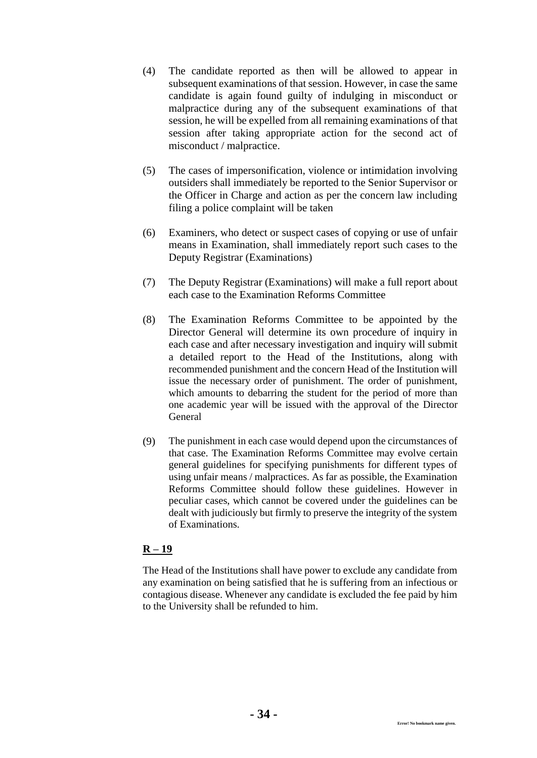- (4) The candidate reported as then will be allowed to appear in subsequent examinations of that session. However, in case the same candidate is again found guilty of indulging in misconduct or malpractice during any of the subsequent examinations of that session, he will be expelled from all remaining examinations of that session after taking appropriate action for the second act of misconduct / malpractice.
- (5) The cases of impersonification, violence or intimidation involving outsiders shall immediately be reported to the Senior Supervisor or the Officer in Charge and action as per the concern law including filing a police complaint will be taken
- (6) Examiners, who detect or suspect cases of copying or use of unfair means in Examination, shall immediately report such cases to the Deputy Registrar (Examinations)
- (7) The Deputy Registrar (Examinations) will make a full report about each case to the Examination Reforms Committee
- (8) The Examination Reforms Committee to be appointed by the Director General will determine its own procedure of inquiry in each case and after necessary investigation and inquiry will submit a detailed report to the Head of the Institutions, along with recommended punishment and the concern Head of the Institution will issue the necessary order of punishment. The order of punishment, which amounts to debarring the student for the period of more than one academic year will be issued with the approval of the Director General
- (9) The punishment in each case would depend upon the circumstances of that case. The Examination Reforms Committee may evolve certain general guidelines for specifying punishments for different types of using unfair means / malpractices. As far as possible, the Examination Reforms Committee should follow these guidelines. However in peculiar cases, which cannot be covered under the guidelines can be dealt with judiciously but firmly to preserve the integrity of the system of Examinations.

The Head of the Institutions shall have power to exclude any candidate from any examination on being satisfied that he is suffering from an infectious or contagious disease. Whenever any candidate is excluded the fee paid by him to the University shall be refunded to him.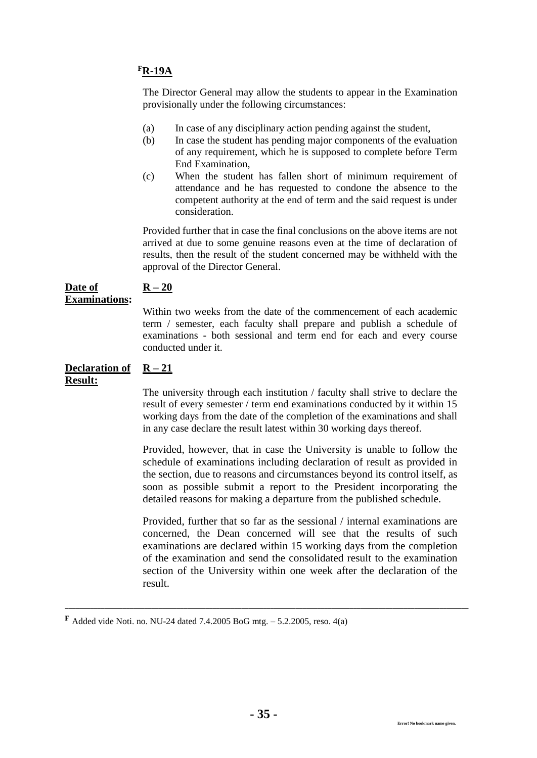# **<sup>F</sup>R-19A**

The Director General may allow the students to appear in the Examination provisionally under the following circumstances:

- (a) In case of any disciplinary action pending against the student,
- (b) In case the student has pending major components of the evaluation of any requirement, which he is supposed to complete before Term End Examination,
- (c) When the student has fallen short of minimum requirement of attendance and he has requested to condone the absence to the competent authority at the end of term and the said request is under consideration.

Provided further that in case the final conclusions on the above items are not arrived at due to some genuine reasons even at the time of declaration of results, then the result of the student concerned may be withheld with the approval of the Director General.

#### **Date of Examinations:**

# **R – 20**

Within two weeks from the date of the commencement of each academic term / semester, each faculty shall prepare and publish a schedule of examinations - both sessional and term end for each and every course conducted under it.

#### **Declaration of Result: R – 21**

The university through each institution / faculty shall strive to declare the result of every semester / term end examinations conducted by it within 15 working days from the date of the completion of the examinations and shall in any case declare the result latest within 30 working days thereof.

Provided, however, that in case the University is unable to follow the schedule of examinations including declaration of result as provided in the section, due to reasons and circumstances beyond its control itself, as soon as possible submit a report to the President incorporating the detailed reasons for making a departure from the published schedule.

Provided, further that so far as the sessional / internal examinations are concerned, the Dean concerned will see that the results of such examinations are declared within 15 working days from the completion of the examination and send the consolidated result to the examination section of the University within one week after the declaration of the result.

**\_\_\_\_\_\_\_\_\_\_\_\_\_\_\_\_\_\_\_\_\_\_\_\_\_\_\_\_\_\_\_\_\_\_\_\_\_\_\_\_\_\_\_\_\_\_\_\_\_\_\_\_\_\_\_\_\_\_\_\_\_\_\_\_\_\_\_\_\_\_\_\_\_\_\_\_\_\_\_\_\_\_\_\_\_\_\_\_\_\_\_\_\_\_\_\_\_\_\_\_\_\_\_\_\_\_\_\_\_\_\_\_**

**<sup>F</sup>** Added vide Noti. no. NU-24 dated 7.4.2005 BoG mtg. – 5.2.2005, reso. 4(a)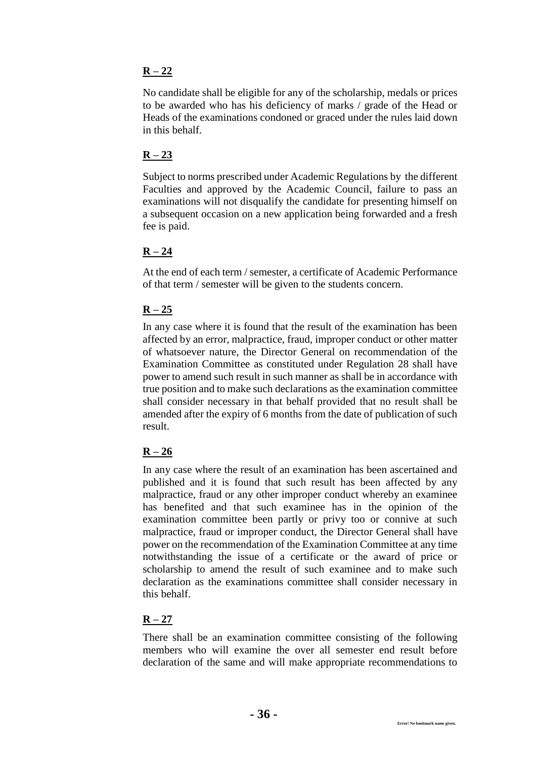No candidate shall be eligible for any of the scholarship, medals or prices to be awarded who has his deficiency of marks / grade of the Head or Heads of the examinations condoned or graced under the rules laid down in this behalf.

#### **R – 23**

Subject to norms prescribed under Academic Regulations by the different Faculties and approved by the Academic Council, failure to pass an examinations will not disqualify the candidate for presenting himself on a subsequent occasion on a new application being forwarded and a fresh fee is paid.

#### **R – 24**

At the end of each term / semester, a certificate of Academic Performance of that term / semester will be given to the students concern.

## **R – 25**

In any case where it is found that the result of the examination has been affected by an error, malpractice, fraud, improper conduct or other matter of whatsoever nature, the Director General on recommendation of the Examination Committee as constituted under Regulation 28 shall have power to amend such result in such manner as shall be in accordance with true position and to make such declarations as the examination committee shall consider necessary in that behalf provided that no result shall be amended after the expiry of 6 months from the date of publication of such result.

## **R – 26**

In any case where the result of an examination has been ascertained and published and it is found that such result has been affected by any malpractice, fraud or any other improper conduct whereby an examinee has benefited and that such examinee has in the opinion of the examination committee been partly or privy too or connive at such malpractice, fraud or improper conduct, the Director General shall have power on the recommendation of the Examination Committee at any time notwithstanding the issue of a certificate or the award of price or scholarship to amend the result of such examinee and to make such declaration as the examinations committee shall consider necessary in this behalf.

#### **R – 27**

There shall be an examination committee consisting of the following members who will examine the over all semester end result before declaration of the same and will make appropriate recommendations to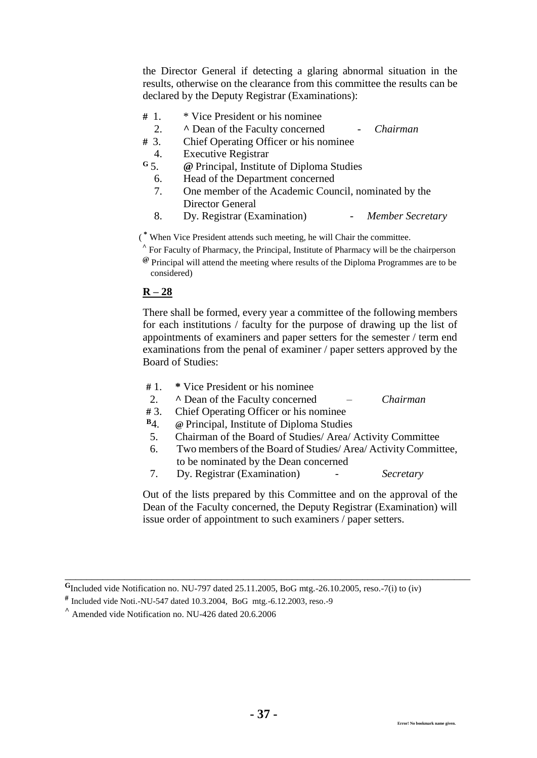the Director General if detecting a glaring abnormal situation in the results, otherwise on the clearance from this committee the results can be declared by the Deputy Registrar (Examinations):

- **#** 1. \* Vice President or his nominee
	- 2. **^** Dean of the Faculty concerned *Chairman*
- **#** 3. Chief Operating Officer or his nominee
- 4. Executive Registrar<br> **G** 5. @ Principal, Institute
	- **<sup>G</sup>** 5. **@** Principal, Institute of Diploma Studies
		- 6. Head of the Department concerned
		- 7. One member of the Academic Council, nominated by the Director General
	- 8. Dy. Registrar (Examination) *Member Secretary*

( **\*** When Vice President attends such meeting, he will Chair the committee.

- For Faculty of Pharmacy, the Principal, Institute of Pharmacy will be the chairperson
- **@** Principal will attend the meeting where results of the Diploma Programmes are to be considered)

#### **R – 28**

There shall be formed, every year a committee of the following members for each institutions / faculty for the purpose of drawing up the list of appointments of examiners and paper setters for the semester / term end examinations from the penal of examiner / paper setters approved by the Board of Studies:

- **#** 1. **\*** Vice President or his nominee
	- 2. **^** Dean of the Faculty concerned *Chairman*
- **#** 3. Chief Operating Officer or his nominee
- **<sup>B</sup>**4. **@** Principal, Institute of Diploma Studies
- 5. Chairman of the Board of Studies/ Area/ Activity Committee
- 6. Two members of the Board of Studies/ Area/ Activity Committee, to be nominated by the Dean concerned
- 7. Dy. Registrar (Examination) *Secretary*

Out of the lists prepared by this Committee and on the approval of the Dean of the Faculty concerned, the Deputy Registrar (Examination) will issue order of appointment to such examiners / paper setters.

\_\_\_\_\_\_\_\_\_\_\_\_\_\_\_\_\_\_\_\_\_\_\_\_\_\_\_\_\_\_\_\_\_\_\_\_\_\_\_\_\_\_\_\_\_\_\_\_\_\_\_\_\_\_\_\_\_\_\_\_\_\_\_\_\_\_\_\_\_\_\_\_\_\_\_

**<sup>G</sup>**Included vide Notification no. NU-797 dated 25.11.2005, BoG mtg.-26.10.2005, reso.-7(i) to (iv)

**<sup>#</sup>** Included vide Noti.-NU-547 dated 10.3.2004, BoG mtg.-6.12.2003, reso.-9

**<sup>^</sup>** Amended vide Notification no. NU-426 dated 20.6.2006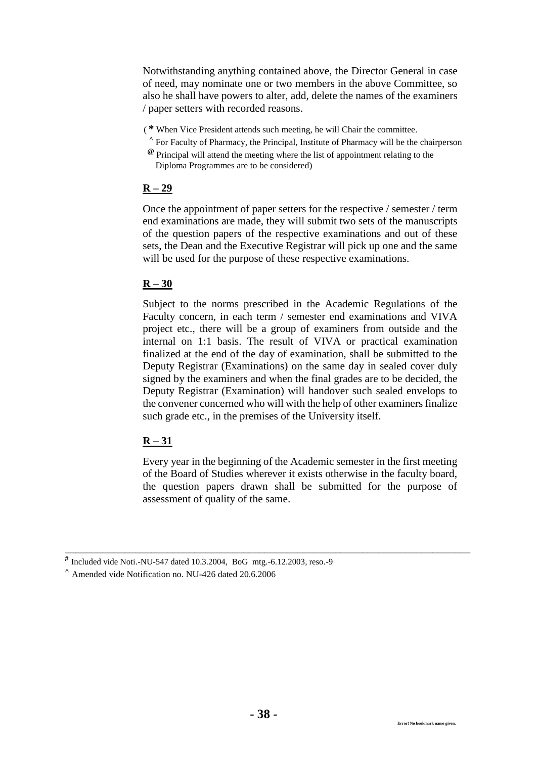Notwithstanding anything contained above, the Director General in case of need, may nominate one or two members in the above Committee, so also he shall have powers to alter, add, delete the names of the examiners / paper setters with recorded reasons.

- ( **\*** When Vice President attends such meeting, he will Chair the committee.
- **^** For Faculty of Pharmacy, the Principal, Institute of Pharmacy will be the chairperson
- **@** Principal will attend the meeting where the list of appointment relating to the Diploma Programmes are to be considered)

#### **R – 29**

Once the appointment of paper setters for the respective / semester / term end examinations are made, they will submit two sets of the manuscripts of the question papers of the respective examinations and out of these sets, the Dean and the Executive Registrar will pick up one and the same will be used for the purpose of these respective examinations.

## **R – 30**

Subject to the norms prescribed in the Academic Regulations of the Faculty concern, in each term / semester end examinations and VIVA project etc., there will be a group of examiners from outside and the internal on 1:1 basis. The result of VIVA or practical examination finalized at the end of the day of examination, shall be submitted to the Deputy Registrar (Examinations) on the same day in sealed cover duly signed by the examiners and when the final grades are to be decided, the Deputy Registrar (Examination) will handover such sealed envelops to the convener concerned who will with the help of other examiners finalize such grade etc., in the premises of the University itself.

## $R - 31$

Every year in the beginning of the Academic semester in the first meeting of the Board of Studies wherever it exists otherwise in the faculty board, the question papers drawn shall be submitted for the purpose of assessment of quality of the same.

**#** Included vide Noti.-NU-547 dated 10.3.2004, BoG mtg.-6.12.2003, reso.-9

**^** Amended vide Notification no. NU-426 dated 20.6.2006

\_\_\_\_\_\_\_\_\_\_\_\_\_\_\_\_\_\_\_\_\_\_\_\_\_\_\_\_\_\_\_\_\_\_\_\_\_\_\_\_\_\_\_\_\_\_\_\_\_\_\_\_\_\_\_\_\_\_\_\_\_\_\_\_\_\_\_\_\_\_\_\_\_\_\_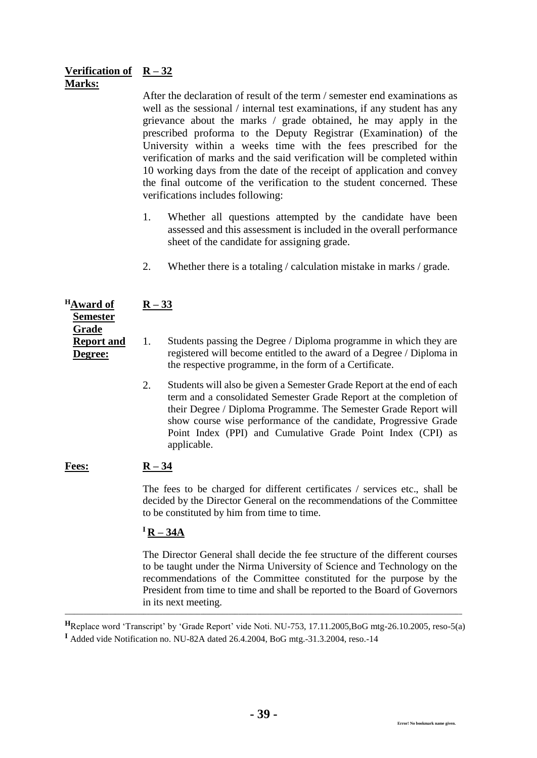#### **Verification of R – 32 Marks:**

After the declaration of result of the term / semester end examinations as well as the sessional / internal test examinations, if any student has any grievance about the marks / grade obtained, he may apply in the prescribed proforma to the Deputy Registrar (Examination) of the University within a weeks time with the fees prescribed for the verification of marks and the said verification will be completed within 10 working days from the date of the receipt of application and convey the final outcome of the verification to the student concerned. These verifications includes following:

- 1. Whether all questions attempted by the candidate have been assessed and this assessment is included in the overall performance sheet of the candidate for assigning grade.
- 2. Whether there is a totaling / calculation mistake in marks / grade.

| <sup>H</sup> Award of | $R - 33$ |    |
|-----------------------|----------|----|
| <b>Semester</b>       |          |    |
| Grade                 |          |    |
| <b>Report and</b>     | $1_{-}$  | S  |
| Degree:               |          | r٢ |
|                       |          |    |

- Students passing the Degree / Diploma programme in which they are registered will become entitled to the award of a Degree / Diploma in the respective programme, in the form of a Certificate.
	- 2. Students will also be given a Semester Grade Report at the end of each term and a consolidated Semester Grade Report at the completion of their Degree / Diploma Programme. The Semester Grade Report will show course wise performance of the candidate, Progressive Grade Point Index (PPI) and Cumulative Grade Point Index (CPI) as applicable.

#### **Fees: R – 34**

The fees to be charged for different certificates / services etc., shall be decided by the Director General on the recommendations of the Committee to be constituted by him from time to time.

#### $^I$ **R** – 34A

The Director General shall decide the fee structure of the different courses to be taught under the Nirma University of Science and Technology on the recommendations of the Committee constituted for the purpose by the President from time to time and shall be reported to the Board of Governors in its next meeting.

**<sup>H</sup>**Replace word 'Transcript' by 'Grade Report' vide Noti. NU-753, 17.11.2005,BoG mtg-26.10.2005, reso-5(a) **<sup>I</sup>** Added vide Notification no. NU-82A dated 26.4.2004, BoG mtg.-31.3.2004, reso.-14

**\_\_\_\_\_\_\_\_\_\_\_\_\_\_\_\_\_\_\_\_\_\_\_\_\_\_\_\_\_\_\_\_\_\_\_\_\_\_\_\_\_\_\_\_\_\_\_\_\_\_\_\_\_\_\_\_\_\_\_\_\_\_\_\_\_\_\_\_\_\_\_\_\_\_\_\_\_\_\_\_\_\_\_\_\_\_\_\_\_\_\_\_\_\_\_\_\_\_\_\_\_\_\_\_\_\_\_\_\_\_\_\_\_\_\_\_\_\_\_\_\_\_\_\_\_\_**

**- 39 -**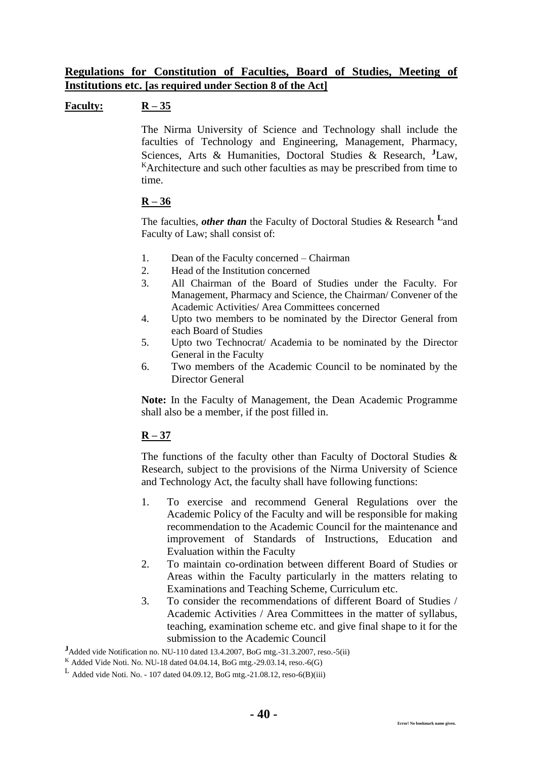#### **Faculty: R – 35**

The Nirma University of Science and Technology shall include the faculties of Technology and Engineering, Management, Pharmacy, Sciences, Arts & Humanities, Doctoral Studies & Research, **J**Law,  $K$ Architecture and such other faculties as may be prescribed from time to time.

#### **R – 36**

The faculties, *other than* the Faculty of Doctoral Studies & Research **<sup>L</sup>** and Faculty of Law; shall consist of:

- 1. Dean of the Faculty concerned Chairman
- 2. Head of the Institution concerned
- 3. All Chairman of the Board of Studies under the Faculty. For Management, Pharmacy and Science, the Chairman/ Convener of the Academic Activities/ Area Committees concerned
- 4. Upto two members to be nominated by the Director General from each Board of Studies
- 5. Upto two Technocrat/ Academia to be nominated by the Director General in the Faculty
- 6. Two members of the Academic Council to be nominated by the Director General

**Note:** In the Faculty of Management, the Dean Academic Programme shall also be a member, if the post filled in.

## **R – 37**

The functions of the faculty other than Faculty of Doctoral Studies & Research, subject to the provisions of the Nirma University of Science and Technology Act, the faculty shall have following functions:

- 1. To exercise and recommend General Regulations over the Academic Policy of the Faculty and will be responsible for making recommendation to the Academic Council for the maintenance and improvement of Standards of Instructions, Education and Evaluation within the Faculty
- 2. To maintain co-ordination between different Board of Studies or Areas within the Faculty particularly in the matters relating to Examinations and Teaching Scheme, Curriculum etc.
- 3. To consider the recommendations of different Board of Studies / Academic Activities / Area Committees in the matter of syllabus, teaching, examination scheme etc. and give final shape to it for the submission to the Academic Council

**<sup>J</sup>**Added vide Notification no. NU-110 dated 13.4.2007, BoG mtg.-31.3.2007, reso.-5(ii)

 $K$  Added Vide Noti. No. NU-18 dated 04.04.14, BoG mtg.-29.03.14, reso.-6(G)

<sup>&</sup>lt;sup>L</sup> Added vide Noti. No. - 107 dated 04.09.12, BoG mtg.-21.08.12, reso-6(B)(iii)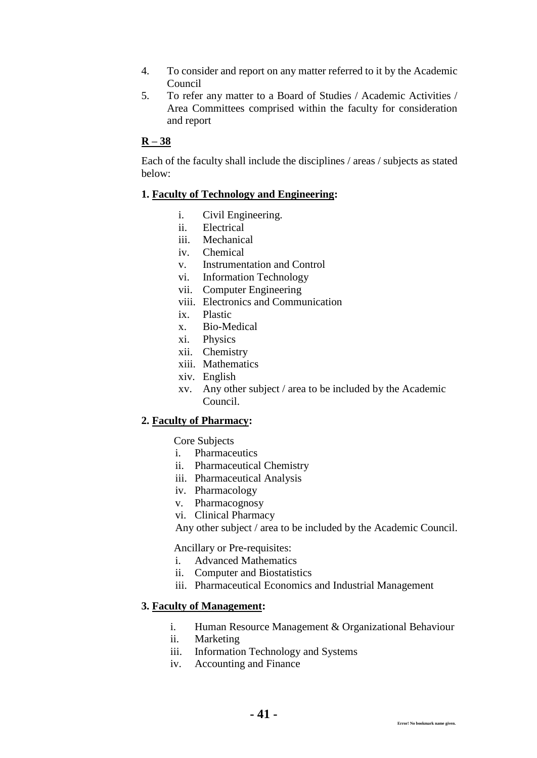- 4. To consider and report on any matter referred to it by the Academic Council
- 5. To refer any matter to a Board of Studies / Academic Activities / Area Committees comprised within the faculty for consideration and report

Each of the faculty shall include the disciplines / areas / subjects as stated below:

#### **1. Faculty of Technology and Engineering:**

- i. Civil Engineering.
- ii. Electrical
- iii. Mechanical
- iv. Chemical
- v. Instrumentation and Control
- vi. Information Technology
- vii. Computer Engineering
- viii. Electronics and Communication
- ix. Plastic
- x. Bio-Medical
- xi. Physics
- xii. Chemistry
- xiii. Mathematics
- xiv. English
- xv. Any other subject / area to be included by the Academic Council.

#### **2. Faculty of Pharmacy:**

Core Subjects

- i. Pharmaceutics
- ii. Pharmaceutical Chemistry
- iii. Pharmaceutical Analysis
- iv. Pharmacology
- v. Pharmacognosy
- vi. Clinical Pharmacy

Any other subject / area to be included by the Academic Council.

Ancillary or Pre-requisites:

- i. Advanced Mathematics
- ii. Computer and Biostatistics
- iii. Pharmaceutical Economics and Industrial Management

#### **3. Faculty of Management:**

- i. Human Resource Management & Organizational Behaviour
- ii. Marketing
- iii. Information Technology and Systems
- iv. Accounting and Finance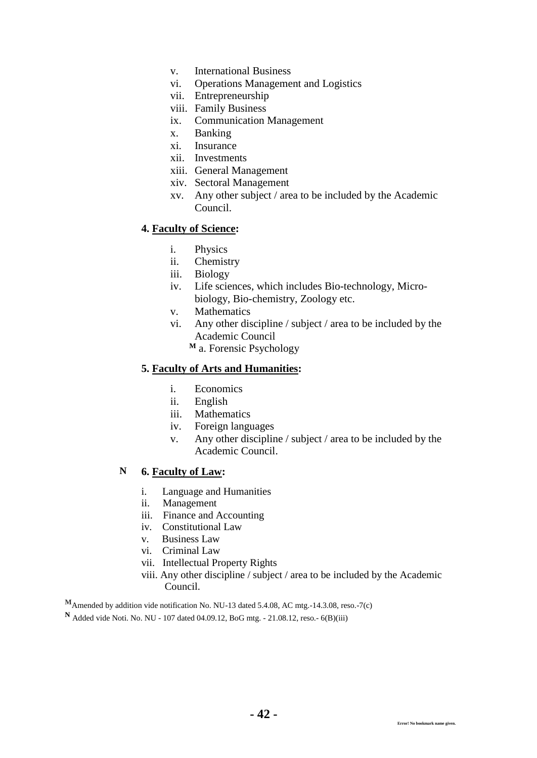- v. International Business
- vi. Operations Management and Logistics
- vii. Entrepreneurship
- viii. Family Business
- ix. Communication Management
- x. Banking
- xi. Insurance
- xii. Investments
- xiii. General Management
- xiv. Sectoral Management
- xv. Any other subject / area to be included by the Academic Council.

#### **4. Faculty of Science:**

- i. Physics
- ii. Chemistry
- iii. Biology
- iv. Life sciences, which includes Bio-technology, Micro biology, Bio-chemistry, Zoology etc.
- v. Mathematics
- vi. Any other discipline / subject / area to be included by the Academic Council
	- **<sup>M</sup>** a. Forensic Psychology

#### **5. Faculty of Arts and Humanities:**

- i. Economics
- ii. English
- iii. Mathematics
- iv. Foreign languages
- v. Any other discipline / subject / area to be included by the Academic Council.

#### **N 6. Faculty of Law:**

- i. Language and Humanities
- ii. Management
- iii. Finance and Accounting
- iv. Constitutional Law
- v. Business Law
- vi. Criminal Law
- vii. Intellectual Property Rights
- viii. Any other discipline / subject / area to be included by the Academic Council.

**<sup>M</sup>**Amended by addition vide notification No. NU-13 dated 5.4.08, AC mtg.-14.3.08, reso.-7(c)

**<sup>N</sup>** Added vide Noti. No. NU - 107 dated 04.09.12, BoG mtg. - 21.08.12, reso.- 6(B)(iii)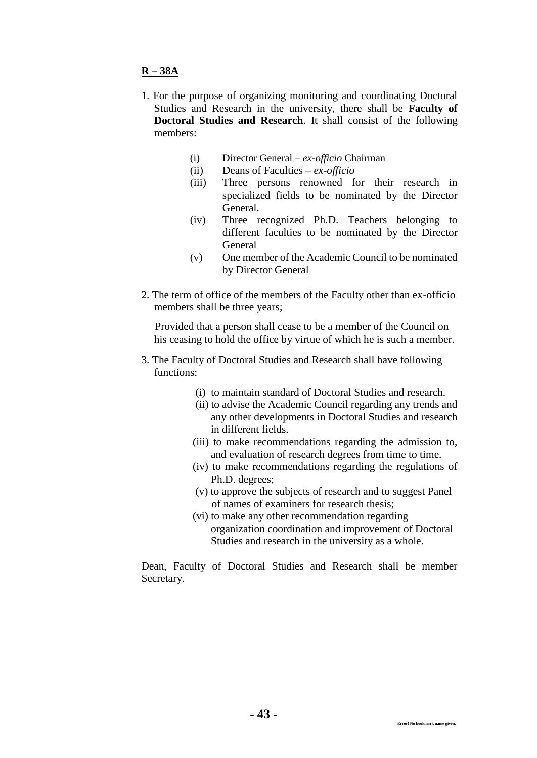#### **R – 38A**

- 1. For the purpose of organizing monitoring and coordinating Doctoral Studies and Research in the university, there shall be **Faculty of Doctoral Studies and Research**. It shall consist of the following members:
	- (i) Director General *ex-officio* Chairman
	- (ii) Deans of Faculties *ex-officio*
	- (iii) Three persons renowned for their research in specialized fields to be nominated by the Director General.
	- (iv) Three recognized Ph.D. Teachers belonging to different faculties to be nominated by the Director General
	- (v) One member of the Academic Council to be nominated by Director General
- 2. The term of office of the members of the Faculty other than ex-officio members shall be three years;

 Provided that a person shall cease to be a member of the Council on his ceasing to hold the office by virtue of which he is such a member.

- 3. The Faculty of Doctoral Studies and Research shall have following functions:
	- (i) to maintain standard of Doctoral Studies and research.
	- (ii) to advise the Academic Council regarding any trends and any other developments in Doctoral Studies and research in different fields.
	- (iii) to make recommendations regarding the admission to, and evaluation of research degrees from time to time.
	- (iv) to make recommendations regarding the regulations of Ph.D. degrees;
	- (v) to approve the subjects of research and to suggest Panel of names of examiners for research thesis;
	- (vi) to make any other recommendation regarding organization coordination and improvement of Doctoral Studies and research in the university as a whole.

Dean, Faculty of Doctoral Studies and Research shall be member Secretary.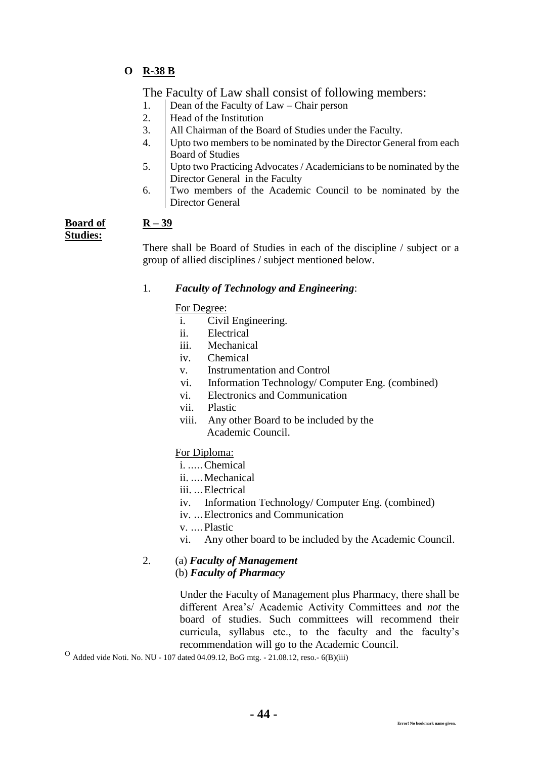**O R-38 B**

## The Faculty of Law shall consist of following members:

- 1. Dean of the Faculty of Law Chair person
- 2. Head of the Institution
- 3. All Chairman of the Board of Studies under the Faculty.
- 4. Upto two members to be nominated by the Director General from each Board of Studies
- 5. Upto two Practicing Advocates / Academicians to be nominated by the Director General in the Faculty
- 6. Two members of the Academic Council to be nominated by the Director General

# **R – 39**

**Board of Studies:** 

> There shall be Board of Studies in each of the discipline / subject or a group of allied disciplines / subject mentioned below.

#### 1. *Faculty of Technology and Engineering*:

For Degree:

- i. Civil Engineering.
- ii. Electrical
- iii. Mechanical
- iv. Chemical
- v. Instrumentation and Control
- vi. Information Technology/ Computer Eng. (combined)
- vi. Electronics and Communication
- vii. Plastic
- viii. Any other Board to be included by the Academic Council.

#### For Diploma:

- i. .....Chemical
- ii. .... Mechanical
- iii. ...Electrical
- iv. Information Technology/ Computer Eng. (combined)
- iv. ...Electronics and Communication
- v. ....Plastic
- vi. Any other board to be included by the Academic Council.

#### 2. (a) *Faculty of Management* (b) *Faculty of Pharmacy*

Under the Faculty of Management plus Pharmacy, there shall be different Area's/ Academic Activity Committees and *not* the board of studies. Such committees will recommend their curricula, syllabus etc., to the faculty and the faculty's recommendation will go to the Academic Council.

 $\rm o$  Added vide Noti. No. NU - 107 dated 04.09.12, BoG mtg. - 21.08.12, reso. - 6(B)(iii)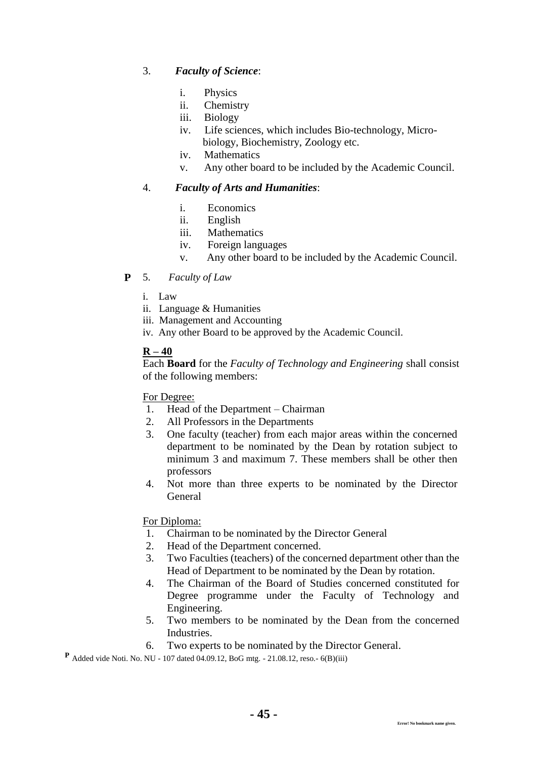#### 3. *Faculty of Science*:

- i. Physics
- ii. Chemistry
- iii. Biology
- iv. Life sciences, which includes Bio-technology, Microbiology, Biochemistry, Zoology etc.
- iv. Mathematics
- v. Any other board to be included by the Academic Council.

#### 4. *Faculty of Arts and Humanities*:

- i. Economics
- ii. English
- iii. Mathematics
- iv. Foreign languages
- v. Any other board to be included by the Academic Council.

#### **P** 5. *Faculty of Law*

- i. Law
- ii. Language & Humanities
- iii. Management and Accounting
- iv. Any other Board to be approved by the Academic Council.

#### **R – 40**

Each **Board** for the *Faculty of Technology and Engineering* shall consist of the following members:

For Degree:

- 1. Head of the Department Chairman
- 2. All Professors in the Departments
- 3. One faculty (teacher) from each major areas within the concerned department to be nominated by the Dean by rotation subject to minimum 3 and maximum 7. These members shall be other then professors
- 4. Not more than three experts to be nominated by the Director General

For Diploma:

- 1. Chairman to be nominated by the Director General
- 2. Head of the Department concerned.
- 3. Two Faculties (teachers) of the concerned department other than the Head of Department to be nominated by the Dean by rotation.
- 4. The Chairman of the Board of Studies concerned constituted for Degree programme under the Faculty of Technology and Engineering.
- 5. Two members to be nominated by the Dean from the concerned Industries.
- 6. Two experts to be nominated by the Director General.

**<sup>P</sup>** Added vide Noti. No. NU - 107 dated 04.09.12, BoG mtg. - 21.08.12, reso.- 6(B)(iii)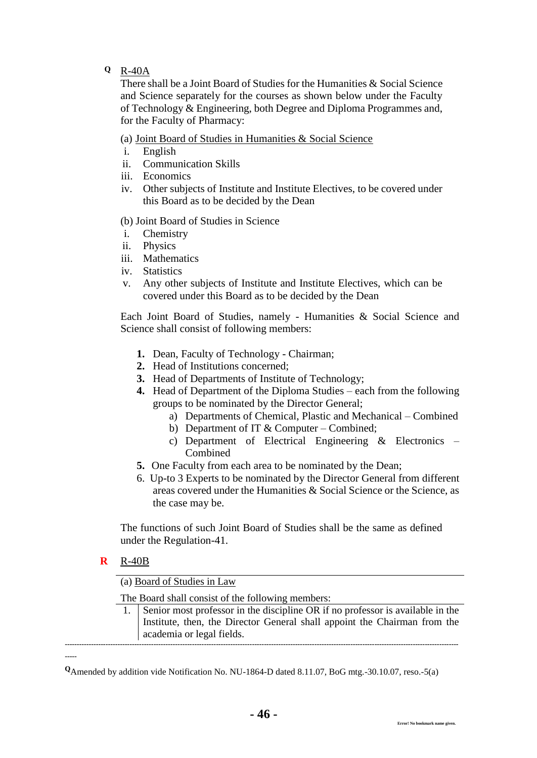#### **Q** R-40A

There shall be a Joint Board of Studies for the Humanities & Social Science and Science separately for the courses as shown below under the Faculty of Technology & Engineering, both Degree and Diploma Programmes and, for the Faculty of Pharmacy:

(a) Joint Board of Studies in Humanities & Social Science

- i. English
- ii. Communication Skills
- iii. Economics
- iv. Other subjects of Institute and Institute Electives, to be covered under this Board as to be decided by the Dean

(b) Joint Board of Studies in Science

- i. Chemistry
- ii. Physics
- iii. Mathematics
- iv. Statistics
- v. Any other subjects of Institute and Institute Electives, which can be covered under this Board as to be decided by the Dean

Each Joint Board of Studies, namely - Humanities & Social Science and Science shall consist of following members:

- **1.** Dean, Faculty of Technology Chairman;
- **2.** Head of Institutions concerned;
- **3.** Head of Departments of Institute of Technology;
- **4.** Head of Department of the Diploma Studies each from the following groups to be nominated by the Director General;
	- a) Departments of Chemical, Plastic and Mechanical Combined
	- b) Department of IT  $&$  Computer Combined;
	- c) Department of Electrical Engineering & Electronics Combined
- **5.** One Faculty from each area to be nominated by the Dean;
- 6. Up-to 3 Experts to be nominated by the Director General from different areas covered under the Humanities & Social Science or the Science, as the case may be.

The functions of such Joint Board of Studies shall be the same as defined under the Regulation-41.

 **R** R-40B

(a) Board of Studies in Law

The Board shall consist of the following members:

1. Senior most professor in the discipline OR if no professor is available in the Institute, then, the Director General shall appoint the Chairman from the academia or legal fields.

**-----**

**<sup>Q</sup>**Amended by addition vide Notification No. NU-1864-D dated 8.11.07, BoG mtg.-30.10.07, reso.-5(a)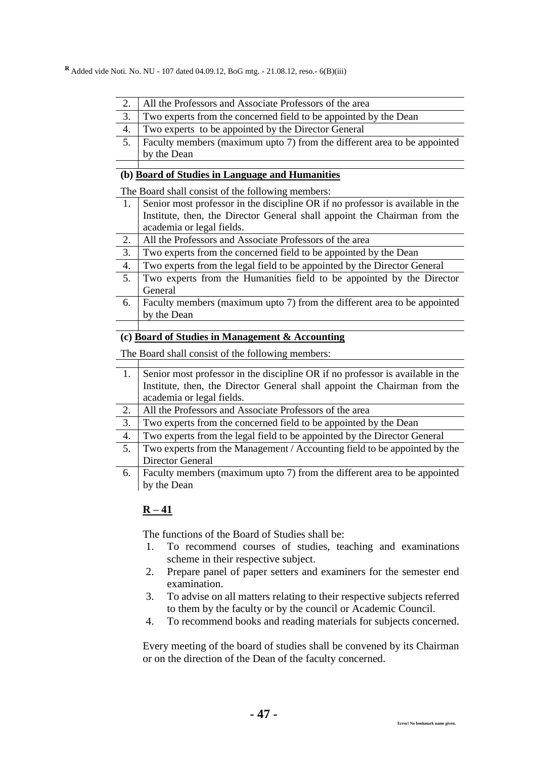**<sup>R</sup>**Added vide Noti. No. NU - 107 dated 04.09.12, BoG mtg. - 21.08.12, reso.- 6(B)(iii)

| 2.   All the Professors and Associate Professors of the area |  |
|--------------------------------------------------------------|--|
|--------------------------------------------------------------|--|

3. Two experts from the concerned field to be appointed by the Dean

- 4. Two experts to be appointed by the Director General
- 5. Faculty members (maximum upto 7) from the different area to be appointed by the Dean

#### **(b) Board of Studies in Language and Humanities**

The Board shall consist of the following members:

- 1. Senior most professor in the discipline OR if no professor is available in the Institute, then, the Director General shall appoint the Chairman from the academia or legal fields.
- 2. All the Professors and Associate Professors of the area
- 3. Two experts from the concerned field to be appointed by the Dean
- 4. Two experts from the legal field to be appointed by the Director General
- 5. Two experts from the Humanities field to be appointed by the Director **General**
- 6. Faculty members (maximum upto 7) from the different area to be appointed by the Dean

#### **(c) Board of Studies in Management & Accounting**

The Board shall consist of the following members:

|    | Senior most professor in the discipline OR if no professor is available in the |
|----|--------------------------------------------------------------------------------|
|    | Institute, then, the Director General shall appoint the Chairman from the      |
|    | academia or legal fields.                                                      |
| 2. | All the Professors and Associate Professors of the area                        |
| 3. | Two experts from the concerned field to be appointed by the Dean               |
| 4. | Two experts from the legal field to be appointed by the Director General       |
|    | Two experts from the Management / Accounting field to be appointed by the      |
|    | Director General                                                               |
| 6. | Faculty members (maximum upto 7) from the different area to be appointed       |
|    | by the Dean                                                                    |

## **R – 41**

The functions of the Board of Studies shall be:

- 1. To recommend courses of studies, teaching and examinations scheme in their respective subject.
- 2. Prepare panel of paper setters and examiners for the semester end examination.
- 3. To advise on all matters relating to their respective subjects referred to them by the faculty or by the council or Academic Council.
- 4. To recommend books and reading materials for subjects concerned.

Every meeting of the board of studies shall be convened by its Chairman or on the direction of the Dean of the faculty concerned.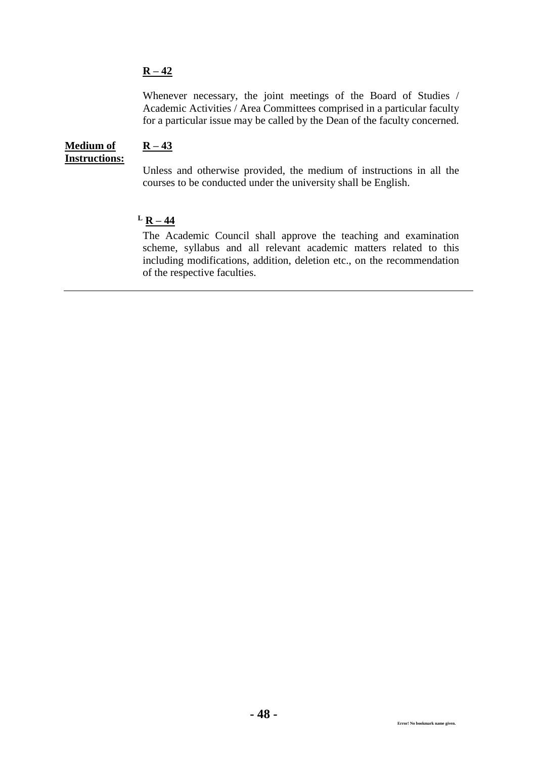Whenever necessary, the joint meetings of the Board of Studies / Academic Activities / Area Committees comprised in a particular faculty for a particular issue may be called by the Dean of the faculty concerned.

#### **Medium of Instructions:**

# **R – 43**

Unless and otherwise provided, the medium of instructions in all the courses to be conducted under the university shall be English.

# $L$  **R** – 44

The Academic Council shall approve the teaching and examination scheme, syllabus and all relevant academic matters related to this including modifications, addition, deletion etc., on the recommendation of the respective faculties.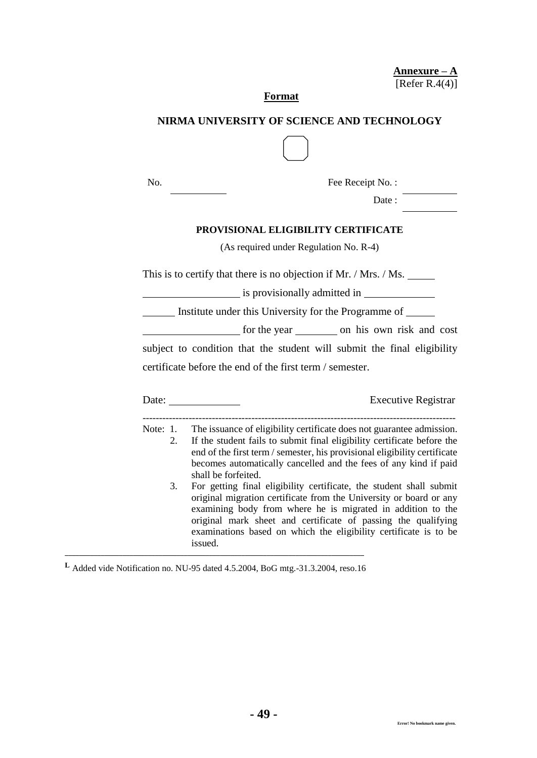## **Format**

#### **NIRMA UNIVERSITY OF SCIENCE AND TECHNOLOGY**

|    | PROVISIONAL ELIGIBILITY CERTIFICATE                                                                                                                                                                                                                                                                                               |
|----|-----------------------------------------------------------------------------------------------------------------------------------------------------------------------------------------------------------------------------------------------------------------------------------------------------------------------------------|
|    | (As required under Regulation No. R-4)                                                                                                                                                                                                                                                                                            |
|    | This is to certify that there is no objection if Mr. / Mrs. / Ms. ______                                                                                                                                                                                                                                                          |
|    |                                                                                                                                                                                                                                                                                                                                   |
|    | Institute under this University for the Programme of ______                                                                                                                                                                                                                                                                       |
|    |                                                                                                                                                                                                                                                                                                                                   |
|    | subject to condition that the student will submit the final eligibility                                                                                                                                                                                                                                                           |
|    | certificate before the end of the first term / semester.                                                                                                                                                                                                                                                                          |
|    |                                                                                                                                                                                                                                                                                                                                   |
|    |                                                                                                                                                                                                                                                                                                                                   |
|    | <b>Executive Registrar</b>                                                                                                                                                                                                                                                                                                        |
|    |                                                                                                                                                                                                                                                                                                                                   |
| 2. | Note: 1. The issuance of eligibility certificate does not guarantee admission.<br>If the student fails to submit final eligibility certificate before the<br>end of the first term / semester, his provisional eligibility certificate<br>becomes automatically cancelled and the fees of any kind if paid<br>shall be forfeited. |

**\_\_\_\_\_\_\_\_\_\_\_\_\_\_\_\_\_\_\_\_\_\_\_\_\_\_\_\_\_\_\_\_\_\_\_\_\_\_\_\_\_\_\_\_\_\_\_\_\_\_\_\_\_\_\_\_\_\_\_\_\_\_\_\_\_\_\_\_\_\_\_\_\_\_\_\_\_\_\_\_\_\_\_ <sup>L</sup>** Added vide Notification no. NU-95 dated 4.5.2004, BoG mtg.-31.3.2004, reso.16

issued.

No. Fee Receipt No. :

**Annexure – A** [Refer R.4(4)]

Date :  $\overline{\qquad \qquad }$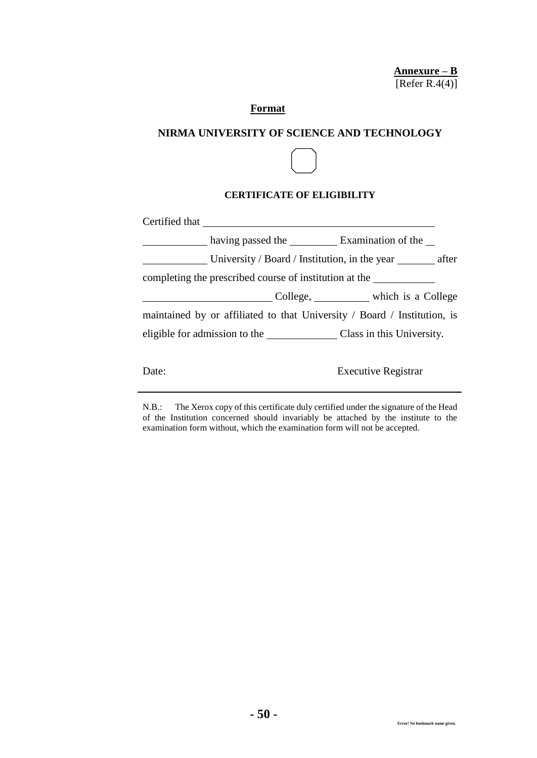# **Format**

#### **NIRMA UNIVERSITY OF SCIENCE AND TECHNOLOGY**

#### **CERTIFICATE OF ELIGIBILITY**

| Certified that <u>superiority</u> |                                                                          |
|-----------------------------------|--------------------------------------------------------------------------|
|                                   |                                                                          |
|                                   | University / Board / Institution, in the year after                      |
|                                   | completing the prescribed course of institution at the                   |
|                                   |                                                                          |
|                                   | maintained by or affiliated to that University / Board / Institution, is |
|                                   | eligible for admission to the Class in this University.                  |
|                                   |                                                                          |
| Date:                             | <b>Executive Registrar</b>                                               |

N.B.: The Xerox copy of this certificate duly certified under the signature of the Head of the Institution concerned should invariably be attached by the institute to the examination form without, which the examination form will not be accepted.